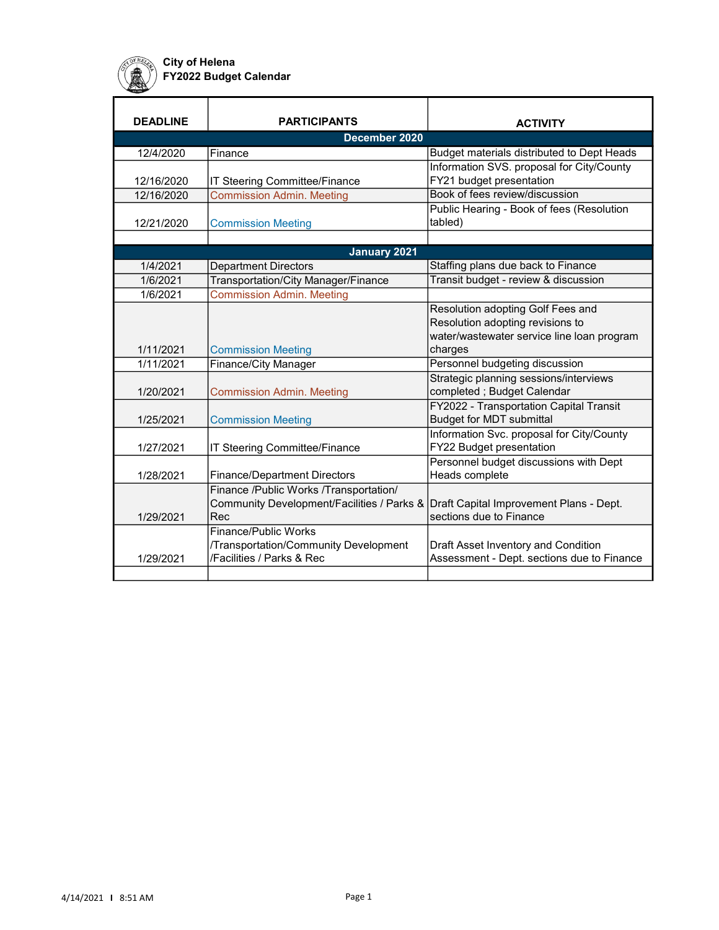

| <b>DEADLINE</b>     | <b>PARTICIPANTS</b>                        | <b>ACTIVITY</b>                            |  |  |
|---------------------|--------------------------------------------|--------------------------------------------|--|--|
| December 2020       |                                            |                                            |  |  |
| 12/4/2020           | Finance                                    | Budget materials distributed to Dept Heads |  |  |
|                     |                                            | Information SVS. proposal for City/County  |  |  |
| 12/16/2020          | IT Steering Committee/Finance              | FY21 budget presentation                   |  |  |
| 12/16/2020          | <b>Commission Admin. Meeting</b>           | Book of fees review/discussion             |  |  |
|                     |                                            | Public Hearing - Book of fees (Resolution  |  |  |
| 12/21/2020          | <b>Commission Meeting</b>                  | tabled)                                    |  |  |
|                     |                                            |                                            |  |  |
| <b>January 2021</b> |                                            |                                            |  |  |
| 1/4/2021            | <b>Department Directors</b>                | Staffing plans due back to Finance         |  |  |
| 1/6/2021            | Transportation/City Manager/Finance        | Transit budget - review & discussion       |  |  |
| 1/6/2021            | <b>Commission Admin. Meeting</b>           |                                            |  |  |
|                     |                                            | Resolution adopting Golf Fees and          |  |  |
|                     |                                            | Resolution adopting revisions to           |  |  |
|                     |                                            | water/wastewater service line loan program |  |  |
| 1/11/2021           | <b>Commission Meeting</b>                  | charges                                    |  |  |
| 1/11/2021           | Finance/City Manager                       | Personnel budgeting discussion             |  |  |
|                     |                                            | Strategic planning sessions/interviews     |  |  |
| 1/20/2021           | <b>Commission Admin. Meeting</b>           | completed; Budget Calendar                 |  |  |
|                     |                                            | FY2022 - Transportation Capital Transit    |  |  |
| 1/25/2021           | <b>Commission Meeting</b>                  | <b>Budget for MDT submittal</b>            |  |  |
|                     |                                            | Information Svc. proposal for City/County  |  |  |
| 1/27/2021           | IT Steering Committee/Finance              | FY22 Budget presentation                   |  |  |
|                     |                                            | Personnel budget discussions with Dept     |  |  |
| 1/28/2021           | <b>Finance/Department Directors</b>        | Heads complete                             |  |  |
|                     | Finance /Public Works /Transportation/     |                                            |  |  |
|                     | Community Development/Facilities / Parks & | Draft Capital Improvement Plans - Dept.    |  |  |
| 1/29/2021           | Rec                                        | sections due to Finance                    |  |  |
|                     | Finance/Public Works                       |                                            |  |  |
|                     | /Transportation/Community Development      | Draft Asset Inventory and Condition        |  |  |
| 1/29/2021           | /Facilities / Parks & Rec                  | Assessment - Dept. sections due to Finance |  |  |
|                     |                                            |                                            |  |  |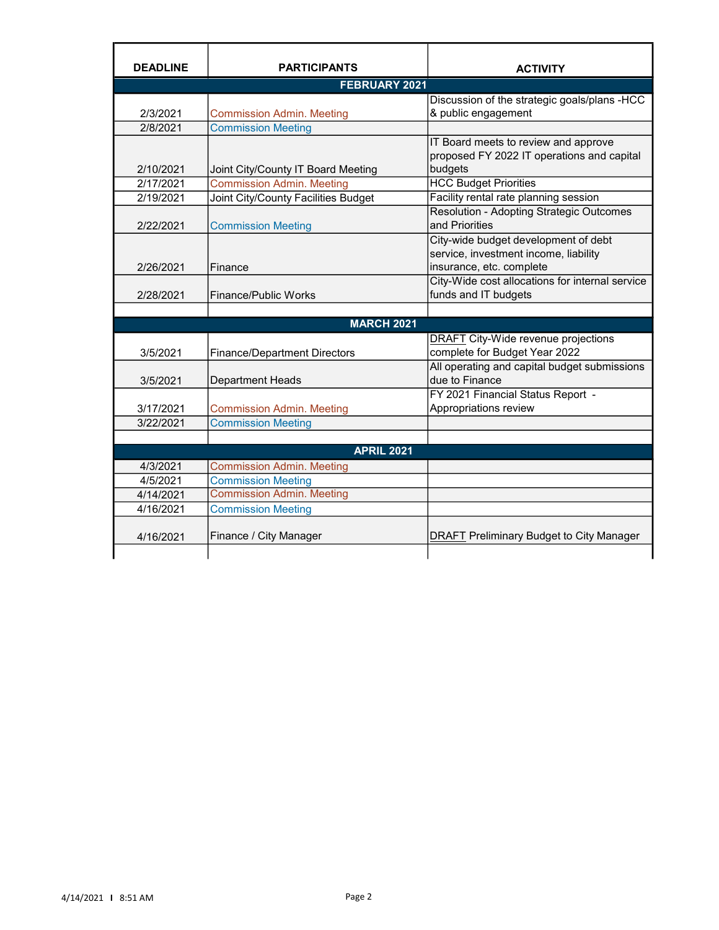| <b>DEADLINE</b> | <b>PARTICIPANTS</b>                 | <b>ACTIVITY</b>                                                               |  |
|-----------------|-------------------------------------|-------------------------------------------------------------------------------|--|
| FEBRUARY 2021   |                                     |                                                                               |  |
|                 |                                     | Discussion of the strategic goals/plans -HCC                                  |  |
| 2/3/2021        | <b>Commission Admin. Meeting</b>    | & public engagement                                                           |  |
| 2/8/2021        | <b>Commission Meeting</b>           |                                                                               |  |
|                 |                                     | IT Board meets to review and approve                                          |  |
|                 |                                     | proposed FY 2022 IT operations and capital                                    |  |
| 2/10/2021       | Joint City/County IT Board Meeting  | budgets                                                                       |  |
| 2/17/2021       | <b>Commission Admin. Meeting</b>    | <b>HCC Budget Priorities</b>                                                  |  |
| 2/19/2021       | Joint City/County Facilities Budget | Facility rental rate planning session                                         |  |
|                 |                                     | <b>Resolution - Adopting Strategic Outcomes</b><br>and Priorities             |  |
| 2/22/2021       | <b>Commission Meeting</b>           |                                                                               |  |
|                 |                                     | City-wide budget development of debt<br>service, investment income, liability |  |
| 2/26/2021       | Finance                             | insurance, etc. complete                                                      |  |
|                 |                                     | City-Wide cost allocations for internal service                               |  |
| 2/28/2021       | Finance/Public Works                | funds and IT budgets                                                          |  |
|                 |                                     |                                                                               |  |
|                 | <b>MARCH 2021</b>                   |                                                                               |  |
|                 |                                     | DRAFT City-Wide revenue projections                                           |  |
| 3/5/2021        | <b>Finance/Department Directors</b> | complete for Budget Year 2022                                                 |  |
|                 |                                     | All operating and capital budget submissions                                  |  |
| 3/5/2021        | <b>Department Heads</b>             | due to Finance                                                                |  |
|                 |                                     | FY 2021 Financial Status Report -                                             |  |
| 3/17/2021       | <b>Commission Admin. Meeting</b>    | Appropriations review                                                         |  |
| 3/22/2021       | <b>Commission Meeting</b>           |                                                                               |  |
|                 |                                     |                                                                               |  |
|                 | <b>APRIL 2021</b>                   |                                                                               |  |
| 4/3/2021        | <b>Commission Admin. Meeting</b>    |                                                                               |  |
| 4/5/2021        | <b>Commission Meeting</b>           |                                                                               |  |
| 4/14/2021       | <b>Commission Admin. Meeting</b>    |                                                                               |  |
| 4/16/2021       | <b>Commission Meeting</b>           |                                                                               |  |
|                 |                                     |                                                                               |  |
| 4/16/2021       | Finance / City Manager              | DRAFT Preliminary Budget to City Manager                                      |  |
|                 |                                     |                                                                               |  |